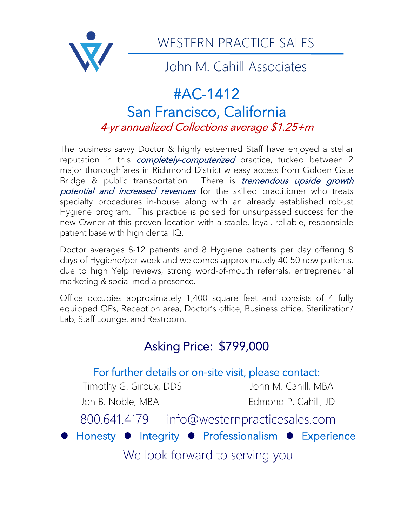

WESTERN PRACTICE SALES

John M. Cahill Associates

## #AC-1412 San Francisco, California 4-yr annualized Collections average \$1.25+m

The business savvy Doctor & highly esteemed Staff have enjoyed a stellar reputation in this *completely-computerized* practice, tucked between 2 major thoroughfares in Richmond District w easy access from Golden Gate Bridge & public transportation. There is *tremendous upside growth* potential and increased revenues for the skilled practitioner who treats specialty procedures in-house along with an already established robust Hygiene program. This practice is poised for unsurpassed success for the new Owner at this proven location with a stable, loyal, reliable, responsible patient base with high dental IQ.

Doctor averages 8-12 patients and 8 Hygiene patients per day offering 8 days of Hygiene/per week and welcomes approximately 40-50 new patients, due to high Yelp reviews, strong word-of-mouth referrals, entrepreneurial marketing & social media presence.

Office occupies approximately 1,400 square feet and consists of 4 fully equipped OPs, Reception area, Doctor's office, Business office, Sterilization/ Lab, Staff Lounge, and Restroom.

## Asking Price: \$799,000

# For further details or on-site visit, please contact:

Timothy G. Giroux, DDS John M. Cahill, MBA

Jon B. Noble, MBA Edmond P. Cahill, JD

800.641.4179 info@westernpracticesales.com

⚫ Honesty ⚫ Integrity ⚫ Professionalism ⚫ Experience

We look forward to serving you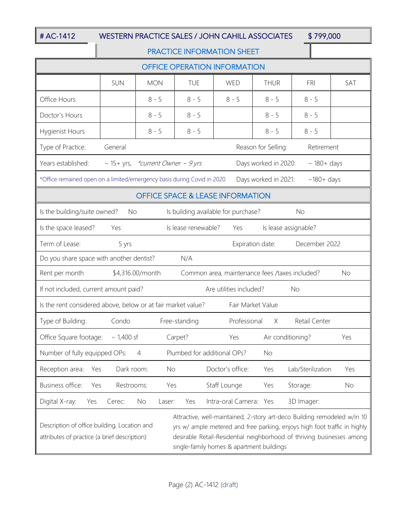## # AC-1412 WESTERN PRACTICE SALES / JOHN CAHILL ASSOCIATES \$ 799,000

### PRACTICE INFORMATION SHEET

| <b>OFFICE OPERATION INFORMATION</b>                                                                                                                                                                                                                                                                                                                                           |                 |              |               |                        |                      |                   |     |  |
|-------------------------------------------------------------------------------------------------------------------------------------------------------------------------------------------------------------------------------------------------------------------------------------------------------------------------------------------------------------------------------|-----------------|--------------|---------------|------------------------|----------------------|-------------------|-----|--|
|                                                                                                                                                                                                                                                                                                                                                                               | <b>SUN</b>      | <b>MON</b>   | <b>TUE</b>    | WED                    | <b>THUR</b>          | <b>FRI</b>        | SAT |  |
| Office Hours                                                                                                                                                                                                                                                                                                                                                                  |                 | $8 - 5$      | $8 - 5$       | $8 - 5$                | $8 - 5$              | $8 - 5$           |     |  |
| Doctor's Hours                                                                                                                                                                                                                                                                                                                                                                |                 | $8 - 5$      | $8 - 5$       |                        | $8 - 5$              | $8 - 5$           |     |  |
| Hygienist Hours                                                                                                                                                                                                                                                                                                                                                               |                 | $8 - 5$      | $8 - 5$       |                        | $8 - 5$              | $8 - 5$           |     |  |
| Type of Practice:<br>General<br>Reason for Selling:<br>Retirement                                                                                                                                                                                                                                                                                                             |                 |              |               |                        |                      |                   |     |  |
| ~ 15+ yrs, *current Owner ~ 9 yrs<br>Years established:<br>Days worked in 2020:<br>$\sim$ 180+ days                                                                                                                                                                                                                                                                           |                 |              |               |                        |                      |                   |     |  |
| *Office remained open on a limited/emergency basis during Covid in 2020                                                                                                                                                                                                                                                                                                       |                 |              |               |                        | Days worked in 2021: | $~180+$ days      |     |  |
| <b>OFFICE SPACE &amp; LEASE INFORMATION</b>                                                                                                                                                                                                                                                                                                                                   |                 |              |               |                        |                      |                   |     |  |
| Is the building/suite owned?<br>Is building available for purchase?<br><b>No</b><br>No                                                                                                                                                                                                                                                                                        |                 |              |               |                        |                      |                   |     |  |
| Is the space leased?<br>Is lease renewable?<br>Yes<br>Is lease assignable?<br>Yes                                                                                                                                                                                                                                                                                             |                 |              |               |                        |                      |                   |     |  |
| Term of Lease:<br>5 yrs<br>Expiration date:<br>December 2022                                                                                                                                                                                                                                                                                                                  |                 |              |               |                        |                      |                   |     |  |
| Do you share space with another dentist?<br>N/A                                                                                                                                                                                                                                                                                                                               |                 |              |               |                        |                      |                   |     |  |
| Rent per month<br>\$4,316.00/month<br>Common area, maintenance fees /taxes included?<br><b>No</b>                                                                                                                                                                                                                                                                             |                 |              |               |                        |                      |                   |     |  |
| If not included, current amount paid?<br>Are utilities included?<br><b>No</b>                                                                                                                                                                                                                                                                                                 |                 |              |               |                        |                      |                   |     |  |
| Is the rent considered above, below or at fair market value?<br>Fair Market Value                                                                                                                                                                                                                                                                                             |                 |              |               |                        |                      |                   |     |  |
| Type of Building:                                                                                                                                                                                                                                                                                                                                                             | Condo           |              | Free-standing | Professional           | X                    | Retail Center     |     |  |
| Office Square footage:                                                                                                                                                                                                                                                                                                                                                        | $\sim$ 1,400 sf |              | Carpet?       | Yes                    | Air conditioning?    |                   | Yes |  |
| Number of fully equipped OPs:<br>Plumbed for additional OPs?<br>$\overline{4}$<br>No                                                                                                                                                                                                                                                                                          |                 |              |               |                        |                      |                   |     |  |
| Reception area:<br>Yes                                                                                                                                                                                                                                                                                                                                                        | Dark room:      | No           |               | Doctor's office:       | Yes                  | Lab/Sterilization | Yes |  |
| Business office:<br>Yes                                                                                                                                                                                                                                                                                                                                                       | Restrooms:      | Yes          |               | Staff Lounge           | Yes                  | Storage:          | No  |  |
| Digital X-ray:<br>Yes                                                                                                                                                                                                                                                                                                                                                         | Cerec:          | No<br>Laser: | Yes           | Intra-oral Camera: Yes |                      | 3D Imager:        |     |  |
| Attractive, well-maintained, 2-story art-deco Building remodeled w/in 10<br>Description of office building, Location and<br>yrs w/ ample metered and free parking, enjoys high foot traffic in highly<br>desirable Retail-Residential neighborhood of thriving businesses among<br>attributes of practice (a brief description):<br>single-family homes & apartment buildings |                 |              |               |                        |                      |                   |     |  |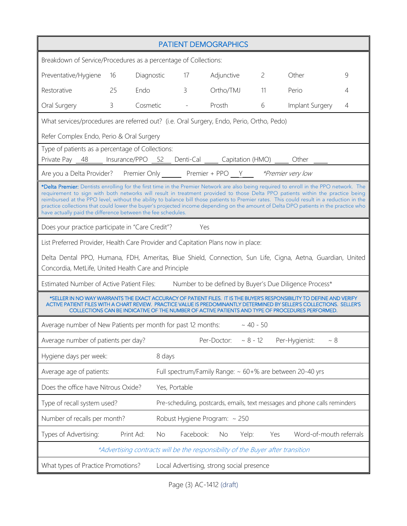| <b>PATIENT DEMOGRAPHICS</b>                                                                                                                                                                                                                                                                                                                                                                                                                                                                                                                                                                                                   |           |            |                                                                            |             |                |                             |   |  |  |
|-------------------------------------------------------------------------------------------------------------------------------------------------------------------------------------------------------------------------------------------------------------------------------------------------------------------------------------------------------------------------------------------------------------------------------------------------------------------------------------------------------------------------------------------------------------------------------------------------------------------------------|-----------|------------|----------------------------------------------------------------------------|-------------|----------------|-----------------------------|---|--|--|
| Breakdown of Service/Procedures as a percentage of Collections:                                                                                                                                                                                                                                                                                                                                                                                                                                                                                                                                                               |           |            |                                                                            |             |                |                             |   |  |  |
| Preventative/Hygiene                                                                                                                                                                                                                                                                                                                                                                                                                                                                                                                                                                                                          | 16        | Diagnostic | $\overline{17}$                                                            | Adjunctive  | $\overline{2}$ | Other                       | 9 |  |  |
| Restorative                                                                                                                                                                                                                                                                                                                                                                                                                                                                                                                                                                                                                   | 25        | Endo       | $\overline{3}$                                                             | Ortho/TMJ   | 11             | Perio                       | 4 |  |  |
| Oral Surgery                                                                                                                                                                                                                                                                                                                                                                                                                                                                                                                                                                                                                  | 3         | Cosmetic   | $\mathcal{L}(\mathcal{A})$ and $\mathcal{L}(\mathcal{A})$                  | Prosth      | 6              | Implant Surgery             | 4 |  |  |
| What services/procedures are referred out? (i.e. Oral Surgery, Endo, Perio, Ortho, Pedo)                                                                                                                                                                                                                                                                                                                                                                                                                                                                                                                                      |           |            |                                                                            |             |                |                             |   |  |  |
| Refer Complex Endo, Perio & Oral Surgery                                                                                                                                                                                                                                                                                                                                                                                                                                                                                                                                                                                      |           |            |                                                                            |             |                |                             |   |  |  |
| Type of patients as a percentage of Collections:<br>Private Pay 48 __ Insurance/PPO 52 Denti-Cal ____ Capitation (HMO) ____ Other ____                                                                                                                                                                                                                                                                                                                                                                                                                                                                                        |           |            |                                                                            |             |                |                             |   |  |  |
| Are you a Delta Provider? Premier Only Premier + PPO Y *Premier very low                                                                                                                                                                                                                                                                                                                                                                                                                                                                                                                                                      |           |            |                                                                            |             |                |                             |   |  |  |
| *Delta Premier: Dentists enrolling for the first time in the Premier Network are also being required to enroll in the PPO network. The<br>requirement to sign with both networks will result in treatment provided to those Delta PPO patients within the practice being<br>reimbursed at the PPO level, without the ability to balance bill those patients to Premier rates. This could result in a reduction in the<br>practice collections that could lower the buyer's projected income depending on the amount of Delta DPO patients in the practice who<br>have actually paid the difference between the fee schedules. |           |            |                                                                            |             |                |                             |   |  |  |
| Does your practice participate in "Care Credit"?                                                                                                                                                                                                                                                                                                                                                                                                                                                                                                                                                                              |           |            |                                                                            | Yes         |                |                             |   |  |  |
| List Preferred Provider, Health Care Provider and Capitation Plans now in place:                                                                                                                                                                                                                                                                                                                                                                                                                                                                                                                                              |           |            |                                                                            |             |                |                             |   |  |  |
| Delta Dental PPO, Humana, FDH, Ameritas, Blue Shield, Connection, Sun Life, Cigna, Aetna, Guardian, United<br>Concordia, MetLife, United Health Care and Principle                                                                                                                                                                                                                                                                                                                                                                                                                                                            |           |            |                                                                            |             |                |                             |   |  |  |
| Estimated Number of Active Patient Files: Number to be defined by Buyer's Due Diligence Process*                                                                                                                                                                                                                                                                                                                                                                                                                                                                                                                              |           |            |                                                                            |             |                |                             |   |  |  |
| *SELLER IN NO WAY WARRANTS THE EXACT ACCURACY OF PATIENT FILES. IT IS THE BUYER'S RESPONSIBILITY TO DEFINE AND VERIFY<br>ACTIVE PATIENT FILES WITH A CHART REVIEW. PRACTICE VALUE IS PREDOMINANTLY DETERMINED BY SELLER'S COLLECTIONS. SELLER'S<br>COLLECTIONS CAN BE INDICATIVE OF THE NUMBER OF ACTIVE PATIENTS AND TYPE OF PROCEDURES PERFORMED.                                                                                                                                                                                                                                                                           |           |            |                                                                            |             |                |                             |   |  |  |
| $\sim$ 40 - 50<br>Average number of New Patients per month for past 12 months:                                                                                                                                                                                                                                                                                                                                                                                                                                                                                                                                                |           |            |                                                                            |             |                |                             |   |  |  |
| Average number of patients per day?                                                                                                                                                                                                                                                                                                                                                                                                                                                                                                                                                                                           |           |            |                                                                            | Per-Doctor: | $~8 - 12$      | Per-Hygienist:<br>$~\sim~8$ |   |  |  |
| Hygiene days per week:<br>8 days                                                                                                                                                                                                                                                                                                                                                                                                                                                                                                                                                                                              |           |            |                                                                            |             |                |                             |   |  |  |
| Average age of patients:<br>Full spectrum/Family Range: ~ 60+% are between 20-40 yrs                                                                                                                                                                                                                                                                                                                                                                                                                                                                                                                                          |           |            |                                                                            |             |                |                             |   |  |  |
| Does the office have Nitrous Oxide?<br>Yes, Portable                                                                                                                                                                                                                                                                                                                                                                                                                                                                                                                                                                          |           |            |                                                                            |             |                |                             |   |  |  |
| Type of recall system used?                                                                                                                                                                                                                                                                                                                                                                                                                                                                                                                                                                                                   |           |            | Pre-scheduling, postcards, emails, text messages and phone calls reminders |             |                |                             |   |  |  |
| Number of recalls per month?<br>Robust Hygiene Program: ~ 250                                                                                                                                                                                                                                                                                                                                                                                                                                                                                                                                                                 |           |            |                                                                            |             |                |                             |   |  |  |
| Types of Advertising:                                                                                                                                                                                                                                                                                                                                                                                                                                                                                                                                                                                                         | Print Ad: | No.        | Facebook:                                                                  | No<br>Yelp: | Yes            | Word-of-mouth referrals     |   |  |  |
| *Advertising contracts will be the responsibility of the Buyer after transition                                                                                                                                                                                                                                                                                                                                                                                                                                                                                                                                               |           |            |                                                                            |             |                |                             |   |  |  |
| What types of Practice Promotions?<br>Local Advertising, strong social presence                                                                                                                                                                                                                                                                                                                                                                                                                                                                                                                                               |           |            |                                                                            |             |                |                             |   |  |  |